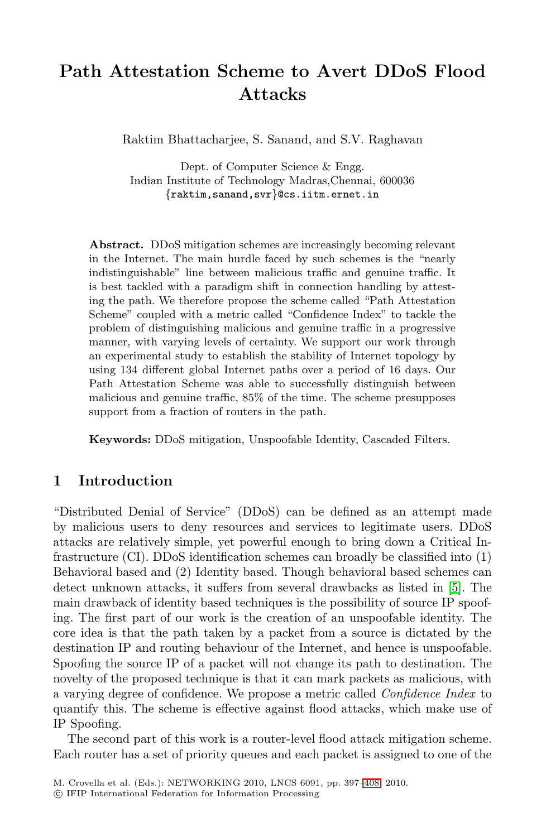# **Path Attestation Scheme to Avert DDoS Flood Attacks**

Raktim Bhattacharjee, S. Sanand, and S.V. Raghavan

Dept. of Computer Science & Engg. Indian Institute of Technology Madras,Chennai, 600036 *{*raktim,sanand,svr*}*@cs.iitm.ernet.in

**Abstract.** DDoS mitigation schemes are increasingly becoming relevant in the Internet. The main hurdle faced by such schemes is the "nearly indistinguishable" line between malicious traffic and genuine traffic. It is best tackled with a paradigm shift in connection handling by attesting the path. We therefore propose the scheme called "Path Attestation Scheme" coupled with a metric called "Confidence Index" to tackle the problem of distinguishing malicious and genuine traffic in a progressive manner, with varying levels of certainty. We support our work through an experimental study to establish the stability of Internet topology by using 134 different global Internet paths over a period of 16 days. Our Path Attestation Scheme was able to successfully distinguish between malicious and genuine traffic, 85% of the time. The scheme presupposes support from a fraction of routers in the path.

**Keywords:** DDoS mitigation, Unspoofable Identity, Cascaded Filters.

# **1 Introduction**

"Distributed Denial of Service" (DDoS) can be defined as an attempt made by malicious users to deny resources and services to legitimate users. DDoS attacks are relatively simple, yet powerful enough to bring down a Critical Infrastructure (CI). DDoS identification schemes can broadly be classified into (1) Behavioral based and (2) Identity based. Though behavioral based schemes can detect unknown attacks, it suffers from several drawbacks as listed in [5]. The main drawback of identity based techniques is the possibility of source IP spoofing. The first part of our work is the creation of an unspoofable identity. The core idea is that the path taken by a packet from a source is dictated by the destination IP and routing behaviour of the Internet, and hence is unspoofable. Spoofing the source IP of a packet w[ill n](#page-11-0)ot change its path to destination. The novelty of the proposed technique is that it can mark packets as malicious, with a varying degree of confidence. We propose a metric called *Confidence Index* to quantify this. The scheme is effective against flood attacks, which make use of IP Spoofing.

The second part of this work is a router-level flood attack mitigation scheme. Each router has a set of priority queues and each packet is assigned to one of the

M. Crovella et al. (Eds.): NETWORKING 2010, LNCS 6091, pp. 397–408, 2010.

<sup>-</sup>c IFIP International Federation for Information Processing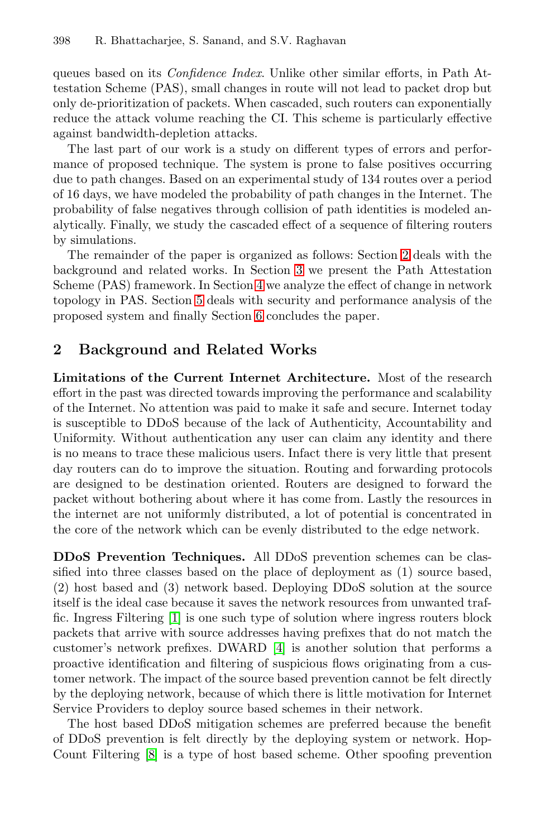queues based on its *Confidence Index*. Unlike other similar efforts, in Path Attestation Scheme (PAS), small changes in route will not lead to packet drop but only de-prioritization of packets. When cascaded, such routers can exponentially reduce the attack volume reaching the CI. This scheme is particularly effective against bandwidth-depletion attacks.

The last part of our [wo](#page-2-0)rk is a study on [diff](#page-1-0)erent types of errors and performance of propos[ed](#page-6-0) technique. The system is prone to false positives occurring due to [pa](#page-8-0)th changes. Based on an experimental study of 134 routes over a period of 16 days, we ha[ve](#page-10-0) modeled the probability of path changes in the Internet. The probability of false negatives through collision of path identities is modeled analytically. Finally, we study the cascaded effect of a sequence of filtering routers by simulations.

<span id="page-1-0"></span>The remainder of the paper is organized as follows: Section 2 deals with the background and related works. In Section 3 we present the Path Attestation Scheme (PAS) framework. In Section 4 we analyze the effect of change in network topology in PAS. Section 5 deals with security and performance analysis of the proposed system and finally Section 6 concludes the paper.

## **2 Background and Related Works**

**Limitations of the Current Internet Architecture.** Most of the research effort in the past was directed towards improving the performance and scalability of the Internet. No attention was paid to make it safe and secure. Internet today is susceptible to DDoS because of the lack of Authenticity, Accountability and Uniformity. Without authentication any user can claim any identity and there is no means to trace these malicious users. Infact there is very little that present day routers can do to improve the situation. Routing and forwarding protocols are designed to be destination oriented. Routers are designed to forward the p[ack](#page-11-1)et without bothering about where it has come from. Lastly the resources in the internet are not uniformly distributed, a lot of potential is concentrated in the core of the netwo[rk](#page-11-2) which can be evenly distributed to the edge network.

**DDoS Prevention Techniques.** All DDoS prevention schemes can be classified into three classes based on the place of deployment as (1) source based, (2) host based and (3) network based. Deploying DDoS solution at the source itself is the ideal case because it saves the network resources from unwanted traffic. Ingress Filtering [1] is one such type of solution where ingress routers block packets that arrive with source addresses having prefixes that do not match the customer's network prefixes. DWARD [4] is another solution that performs a proactive identification and filtering of suspicious flows originating from a customer network. The impact of the source based prevention cannot be felt directly by the deploying network, because of which there is little motivation for Internet Service Providers to deploy source based schemes in their network.

The host based DDoS mitigation schemes are preferred because the benefit of DDoS prevention is felt directly by the deploying system or network. Hop-Count Filtering [8] is a type of host based scheme. Other spoofing prevention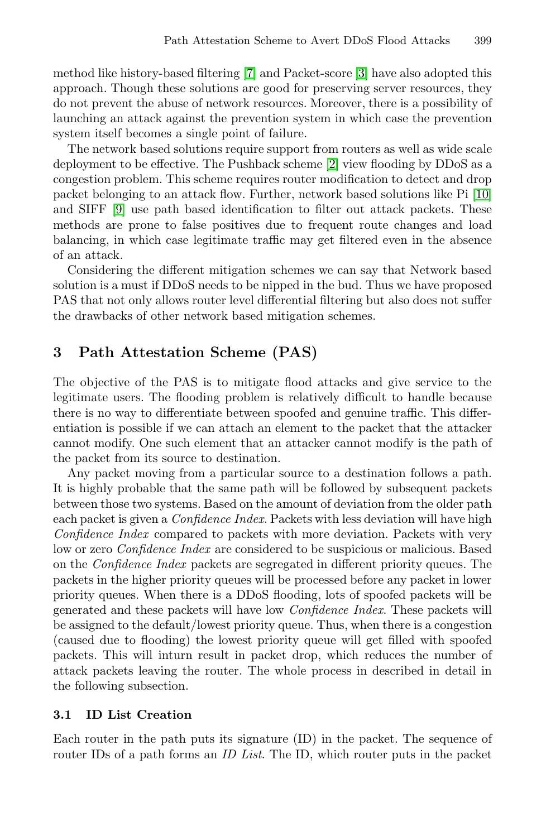method like history-based filtering [7] and Packet-score [3] [hav](#page-11-4)e also adopted this approach. Though these solutions are good for preserving server resources, they do not prevent the abuse of network resources. Moreover, there is a possibility of launching an attack against the prevention system in which case the prevention system itself becomes a single point of failure.

The network based solutions require support from routers as well as wide scale deployment to be effective. The Pushback scheme [2] view flooding by DDoS as a congestion problem. This scheme requires router modification to detect and drop packet belonging to an attack flow. Further, network based solutions like Pi [10] and SIFF [9] use path based identification to filter out attack packets. These methods are prone to false positives due to frequent route changes and load balancing, in which case legitimate traffic may get filtered even in the absence of an attack.

<span id="page-2-0"></span>Considering the different mitigation schemes we can say that Network based solution is a must if DDoS needs to be nipped in the bud. Thus we have proposed PAS that not only allows router level differential filtering but also does not suffer the drawbacks of other network based mitigation schemes.

## **3 Path Attestation Scheme (PAS)**

The objective of the PAS is to mitigate flood attacks and give service to the legitimate users. The flooding problem is relatively difficult to handle because there is no way to differentiate between spoofed and genuine traffic. This differentiation is possible if we can attach an element to the packet that the attacker cannot modify. One such element that an attacker cannot modify is the path of the packet from its source to destination.

Any packet moving from a particular source to a destination follows a path. It is highly probable that the same path will be followed by subsequent packets between those two systems. Based on the amount of deviation from the older path each packet is given a *Confidence Index*. Packets with less deviation will have high *Confidence Index* compared to packets with more deviation. Packets with very low or zero *Confidence Index* are considered to be suspicious or malicious. Based on the *Confidence Index* packets are segregated in different priority queues. The packets in the higher priority queues will be processed before any packet in lower priority queues. When there is a DDoS flooding, lots of spoofed packets will be generated and these packets will have low *Confidence Index*. These packets will be assigned to the default/lowest priority queue. Thus, when there is a congestion (caused due to flooding) the lowest priority queue will get filled with spoofed packets. This will inturn result in packet drop, which reduces the number of attack packets leaving the router. The whole process in described in detail in the following subsection.

## **3.1 ID List Creation**

Each router in the path puts its signature (ID) in the packet. The sequence of router IDs of a path forms an *ID List*. The ID, which router puts in the packet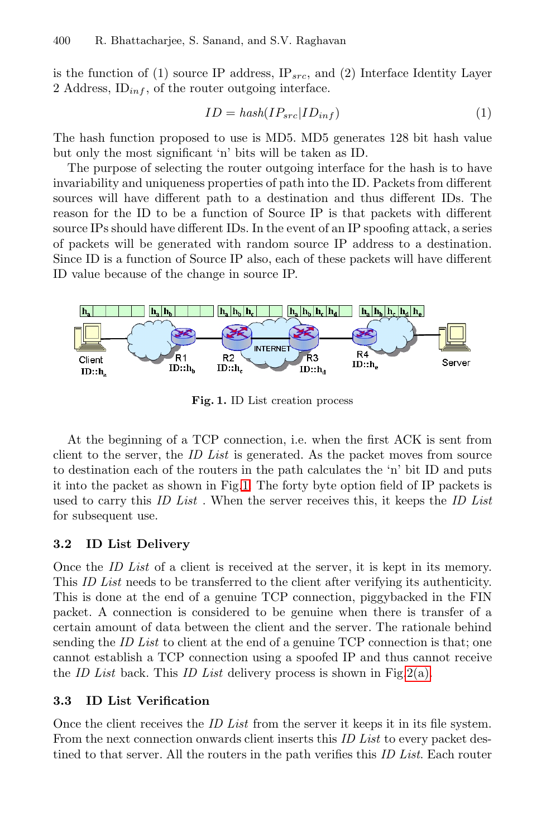is the function of (1) source IP address, IP*src*, and (2) Interface Identity Layer 2 Address,  $ID_{inf}$ , of the router outgoing interface.

$$
ID = hash(ID_{src} | ID_{inf})
$$
\n(1)

The hash function proposed to use is MD5. MD5 generates 128 bit hash value but only the most significant 'n' bits will be taken as ID.

The purpose of selecting the router outgoing interface for the hash is to have invariability and uniqueness properties of path into the ID. Packets from different sources will have different path to a destination and thus different IDs. The reason for the ID to be a function of Source IP is that packets with different source IPs should have different IDs. In the event of an IP spoofing attack, a series of packets will be generated with random source IP address to a destination. Since ID is a function of Source IP also, each of these packets will have different ID value because of the change in source IP.



**Fig. 1.** ID List creation process

At the beginning of a TCP connection, i.e. when the first ACK is sent from client to the server, the *ID List* is generated. As the packet moves from source to destination each of the routers in the path calculates the 'n' bit ID and puts it into the packet as shown in Fig.1. The forty byte option field of IP packets is used to carry this *ID List* . When the server receives this, it keeps the *ID List* for subsequent use.

## **3.2 ID List Delivery**

Once the *ID List* of a client is received at t[he](#page-4-0) [se](#page-4-0)rver, it is kept in its memory. This *ID List* needs to be transferred to the client after verifying its authenticity. This is done at the end of a genuine TCP connection, piggybacked in the FIN packet. A connection is considered to be genuine when there is transfer of a certain amount of data between the client and the server. The rationale behind sending the *ID List* to client at the end of a genuine TCP connection is that; one cannot establish a TCP connection using a spoofed IP and thus cannot receive the *ID List* back. This *ID List* delivery process is shown in Fig.2(a).

#### **3.3 ID List Verification**

Once the client receives the *ID List* from the server it keeps it in its file system. From the next connection onwards client inserts this *ID List* to every packet destined to that server. All the routers in the path verifies this *ID List*. Each router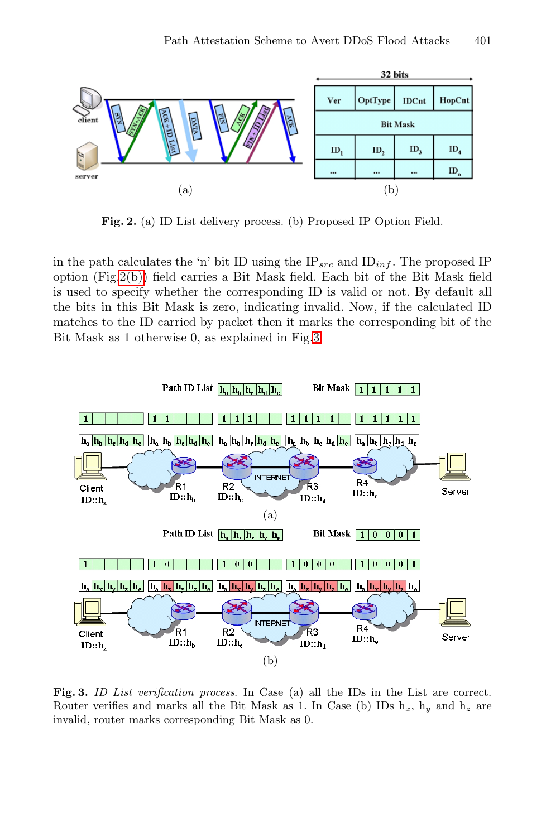<span id="page-4-0"></span>

**Fig. 2.** (a) ID List d[eli](#page-4-1)very process. (b) Proposed IP Option Field.

in the path calculates the 'n' bit ID using the IP*src* and ID*inf* . The proposed IP option (Fig.2(b)) field carries a Bit Mask field. Each bit of the Bit Mask field is used to specify whether the corresponding ID is valid or not. By default all the bits in this Bit Mask is zero, indicating invalid. Now, if the calculated ID matches to the ID carried by packet then it marks the corresponding bit of the Bit Mask as 1 otherwise 0, as explained in Fig.3.



<span id="page-4-1"></span>**Fig. 3.** *ID List verification process*. In Case (a) all the IDs in the List are correct. Router verifies and marks all the Bit Mask as 1. In Case (b) IDs h*x*, h*<sup>y</sup>* and h*<sup>z</sup>* are invalid, router marks corresponding Bit Mask as 0.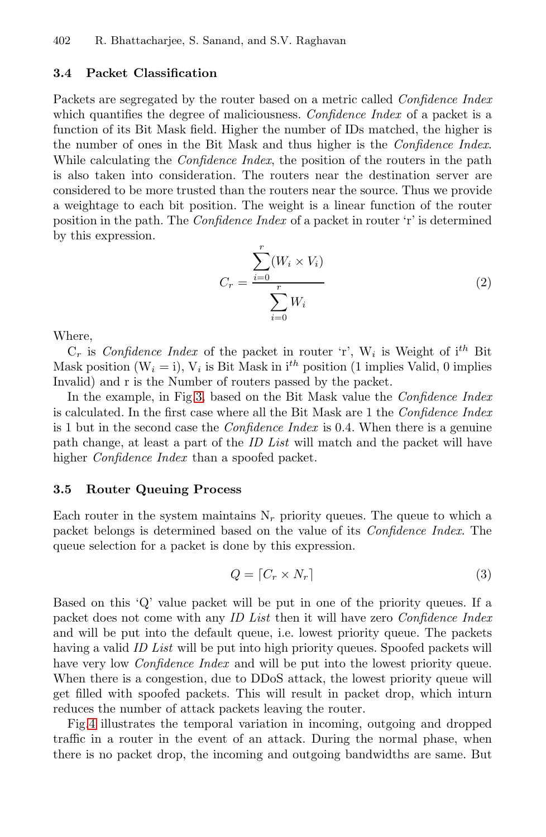#### **3.4 Packet Classification**

Packets are segregated by the router based on a metric called *Confidence Index* which quantifies the degree of maliciousness. *Confidence Index* of a packet is a function of its Bit Mask field. Higher the number of IDs matched, the higher is the number of ones in the Bit Mask and thus higher is the *Confidence Index*. While calculating the *Confidence Index*, the position of the routers in the path is also taken into consideration. The routers near the destination server are considered to be more trusted than the routers near the source. Thus we provide a weightage to each bit position. The weight is a linear function of the router position in the path. The *Confidence Index* of a packet in router 'r' is determined by this expression.

$$
C_r = \frac{\sum_{i=0}^{r} (W_i \times V_i)}{\sum_{i=0}^{r} W_i}
$$
 (2)

Where,

 $C_r$  is *Confidence Index* of the packet in router 'r',  $W_i$  is Weight of i<sup>th</sup> Bit Mask position  $(W_i = i)$ ,  $V_i$  is Bit Mask in  $i<sup>th</sup>$  position (1 implies Valid, 0 implies Invalid) and r is the Number of routers passed by the packet.

In the example, in Fig.3, based on the Bit Mask value the *Confidence Index* is calculated. In the first case where all the Bit Mask are 1 the *Confidence Index* is 1 but in the second case the *Confidence Index* is 0.4. When there is a genuine path change, at least a part of the *ID List* will match and the packet will have higher *Confidence Index* than a spoofed packet.

#### **3.5 Router Queuing Process**

Each router in the system maintains  $N_r$  priority queues. The queue to which a packet belongs is determined based on the value of its *Confidence Index*. The queue selection for a packet is done by this expression.

$$
Q = [C_r \times N_r] \tag{3}
$$

Based on this 'Q' value packet will be put in one of the priority queues. If a packet does not come with any *ID List* then it will have zero *Confidence Index* and will be put into the default queue, i.e. lowest priority queue. The packets having a valid *ID List* will be put into high priority queues. Spoofed packets will have very low *Confidence Index* and will be put into the lowest priority queue. When there is a congestion, due to DDoS attack, the lowest priority queue will get filled with spoofed packets. This will result in packet drop, which inturn reduces the number of attack packets leaving the router.

Fig.4 illustrates the temporal variation in incoming, outgoing and dropped traffic in a router in the event of an attack. During the normal phase, when there is no packet drop, the incoming and outgoing bandwidths are same. But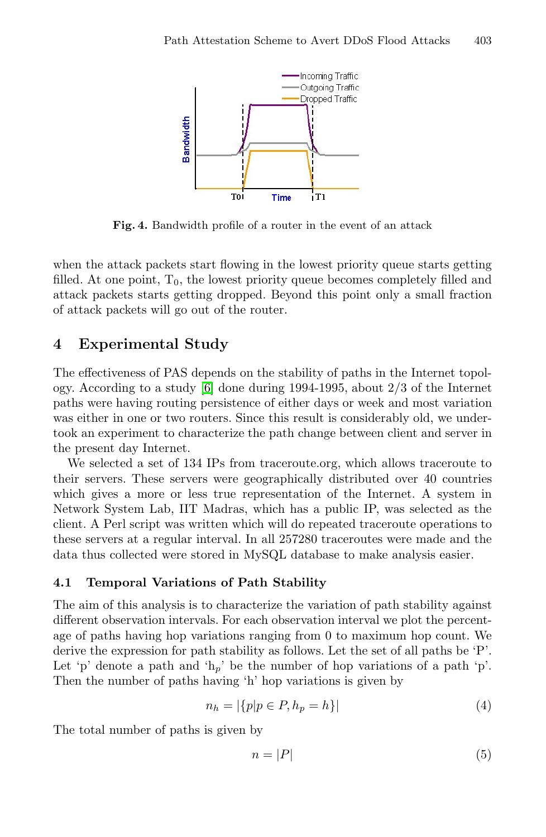

**Fig. 4.** Bandwidth profile of a router in the event of an attack

<span id="page-6-0"></span>when th[e](#page-11-5) attack packets start flowing in the lowest priority queue starts getting filled. At one point,  $T_0$ , the lowest priority queue becomes completely filled and attack packets starts getting dropped. Beyond this point only a small fraction of attack packets will go out of the router.

## **4 Experimental Study**

The effectiveness of PAS depends on the stability of paths in the Internet topology. According to a study [6] done during 1994-1995, about 2/3 of the Internet paths were having routing persistence of either days or week and most variation was either in one or two routers. Since this result is considerably old, we undertook an experiment to characterize the path change between client and server in the present day Internet.

We selected a set of 134 IPs from traceroute.org, which allows traceroute to their servers. These servers were geographically distributed over 40 countries which gives a more or less true representation of the Internet. A system in Network System Lab, IIT Madras, which has a public IP, was selected as the client. A Perl script was written which will do repeated traceroute operations to these servers at a regular interval. In all 257280 traceroutes were made and the data thus collected were stored in MySQL database to make analysis easier.

## **4.1 Temporal Variations of Path Stability**

The aim of this analysis is to characterize the variation of path stability against different observation intervals. For each observation interval we plot the percentage of paths having hop variations ranging from 0 to maximum hop count. We derive the expression for path stability as follows. Let the set of all paths be 'P'. Let 'p' denote a path and 'h<sub>p</sub>' be the number of hop variations of a path 'p'. Then the number of paths having 'h' hop variations is given by

$$
n_h = |\{p|p \in P, h_p = h\}| \tag{4}
$$

The total number of paths is given by

$$
n = |P| \tag{5}
$$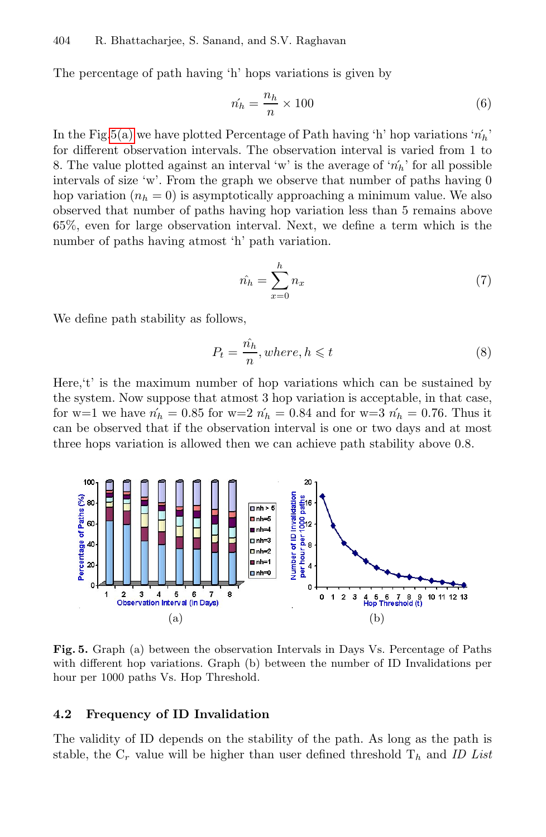The percentage of path having 'h' hops variations is given by

$$
\acute{n}_{h} = \frac{n_{h}}{n} \times 100\tag{6}
$$

In the Fig.5(a) we have plotted Percentage of Path having 'h' hop variations ' $n'_h$ ' for different observation intervals. The observation interval is varied from 1 to 8. The value plotted against an interval 'w' is the average of ' $n'_h$ ' for all possible intervals of size 'w'. From the graph we observe that number of paths having 0 hop variation  $(n_h = 0)$  is asymptotically approaching a minimum value. We also observed that number of paths having hop variation less than 5 remains above 65%, even for large observation interval. Next, we define a term which is the number of paths having atmost 'h' path variation.

$$
\hat{n_h} = \sum_{x=0}^h n_x \tag{7}
$$

We define path stability as follows,

$$
P_t = \frac{\hat{n_h}}{n}, where, h \leq t \tag{8}
$$

Here,  $t'$  is the maximum number of hop variations which can be sustained by the system. Now suppose that atmost 3 hop variation is acceptable, in that case, for w=1 we have  $\hat{n}_h = 0.85$  for w=2  $\hat{n}_h = 0.84$  and for w=3  $\hat{n}_h = 0.76$ . Thus it can be observed that if the observation interval is one or two days and at most three hops variation is allowed then we can achieve path stability above 0.8.



**Fig. 5.** Graph (a) between the observation Intervals in Days Vs. Percentage of Paths with different hop variations. Graph (b) between the number of ID Invalidations per hour per 1000 paths Vs. Hop Threshold.

## **4.2 Frequency of ID Invalidation**

The validity of ID depends on the stability of the path. As long as the path is stable, the C*<sup>r</sup>* value will be higher than user defined threshold T*<sup>h</sup>* and *ID List*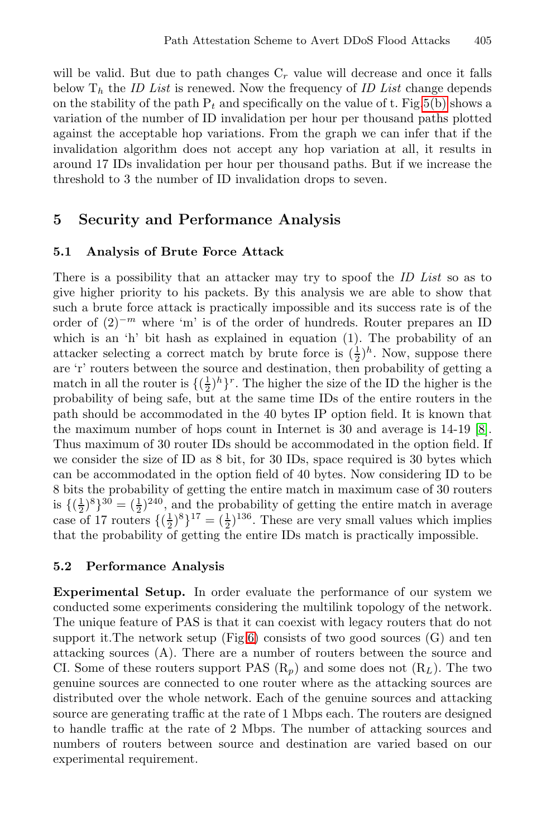<span id="page-8-0"></span>will be valid. But due to path changes  $C_r$  value will decrease and once it falls below  $T_h$  the *ID List* is renewed. Now the frequency of *ID List* change depends on the stability of the path  $P_t$  and specifically on the value of t. Fig.5(b) shows a variation of the number of ID invalidation per hour per thousand paths plotted against the acceptable hop variations. From the graph we can infer that if the invalidation algorithm does not accept any hop variation at all, it results in around 17 IDs invalidation per hour per thousand paths. But if we increase the threshold to 3 the number of ID invalidation drops to seven.

## **5 Security and Performance Analysis**

## **5.1 Analysis of Brute Force Attack**

There is a possibility that an attacker may try to spoof the *ID List* so as to give higher priority to his packets. By this analysis we are able to show that such a brute force attack is practically impossible and its [s](#page-11-6)uccess rate is of the order of (2)−*<sup>m</sup>* where 'm' is of the order of hundreds. Router prepares an ID which is an 'h' bit hash as explained in equation (1). The probability of an attacker selecting a correct match by brute force is  $(\frac{1}{2})^h$ . Now, suppose there are 'r' routers between the source and destination, then probability of getting a match in all the router is  $\{\left(\frac{1}{2}\right)^h\}$ <sup>r</sup>. The higher the size of the ID the higher is the probability of being safe, but at the same time IDs of the entire routers in the path should be accommodated in the 40 bytes IP option field. It is known that the maximum number of hops count in Internet is 30 and average is 14-19 [8]. Thus maximum of 30 router IDs should be accommodated in the option field. If we consider the size of ID as 8 bit, for 30 IDs, space required is 30 bytes which can be accommodated in the option field of 40 bytes. Now considering ID to be 8 bits the probability of getting the entire match in maximum case of 30 routers is  $\{(\frac{1}{2})^8\}^{30} = (\frac{1}{2})^{240}$ , and the probability of getting the entire match in average case of 17 route[rs](#page-9-0)  $\{(\frac{1}{2})^8\}^{17} = (\frac{1}{2})^{136}$ . These are very small values which implies that the probability of getting the entire IDs match is practically impossible.

#### **5.2 Performance Analysis**

**Experimental Setup.** In order evaluate the performance of our system we conducted some experiments considering the multilink topology of the network. The unique feature of PAS is that it can coexist with legacy routers that do not support it. The network setup  $(Fig.6)$  consists of two good sources  $(G)$  and ten attacking sources (A). There are a number of routers between the source and CI. Some of these routers support PAS  $(R_p)$  and some does not  $(R_L)$ . The two genuine sources are connected to one router where as the attacking sources are distributed over the whole network. Each of the genuine sources and attacking source are generating traffic at the rate of 1 Mbps each. The routers are designed to handle traffic at the rate of 2 Mbps. The number of attacking sources and numbers of routers between source and destination are varied based on our experimental requirement.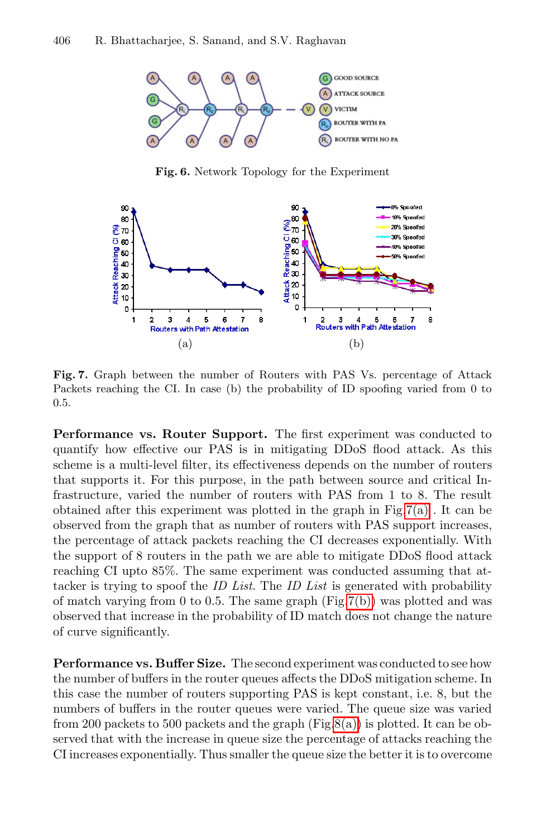<span id="page-9-1"></span><span id="page-9-0"></span>

<span id="page-9-2"></span>**Fig. 6.** Network Topology for the Experiment



**Fig. 7.** Graph between the number of Routers with PAS Vs. percentage of Attack Packets reaching the CI. In case (b) the proba[bility](#page-9-1) of ID spoofing varied from 0 to 0.5.

**Performance vs. Router Support.** The first experiment was conducted to quantify how effective our PAS is in mitigating DDoS flood attack. As this scheme is a multi-level filter, its effectiveness depends on the number of routers that supports it. For this purpos[e, in t](#page-9-2)he path between source and critical Infrastructure, varied the number of routers with PAS from 1 to 8. The result obtained after this experiment was plotted in the graph in Fig.7(a) . It can be observed from the graph that as number of routers with PAS support increases, the percentage of attack packets reaching the CI decreases exponentially. With the support of 8 routers in the path we are able to mitigate DDoS flood attack reaching CI upto 85%. The same experiment was conducted assuming that attacker is trying to spoof the *ID List*. The *ID List* is generated with probability of match varying from 0 to 0.5. [The](#page-10-1) same graph  $(Fig.7(b))$  was plotted and was observed that increase in the probability of ID match does not change the nature of curve significantly.

**Performance vs. Buffer Size.** The second experiment was conducted to see how the number of buffers in the router queues affects the DDoS mitigation scheme. In this case the number of routers supporting PAS is kept constant, i.e. 8, but the numbers of buffers in the router queues were varied. The queue size was varied from 200 packets to 500 packets and the graph  $(Fig.8(a))$  is plotted. It can be observed that with the increase in queue size the percentage of attacks reaching the CI increases exponentially. Thus smaller the queue size the better it is to overcome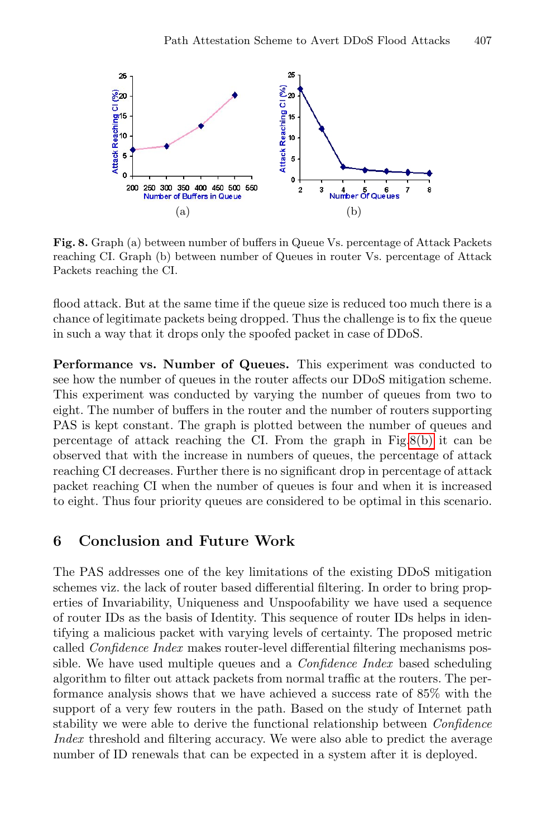<span id="page-10-2"></span><span id="page-10-1"></span>

**Fig. 8.** Graph (a) between number of buffers in Queue Vs. percentage of Attack Packets reaching CI. Graph (b) between number of Queues in router Vs. percentage of Attack Packets reaching the CI.

flood attack. But at the same time if the queue size is reduced too much there is a chance of legitimate packets being dropped. T[hus th](#page-10-2)e challenge is to fix the queue in such a way that it drops only the spoofed packet in case of DDoS.

<span id="page-10-0"></span>**Performance vs. Number of Queues.** This experiment was conducted to see how the number of queues in the router affects our DDoS mitigation scheme. This experiment was conducted by varying the number of queues from two to eight. The number of buffers in the router and the number of routers supporting PAS is kept constant. The graph is plotted between the number of queues and percentage of attack reaching the CI. From the graph in Fig.8(b) it can be observed that with the increase in numbers of queues, the percentage of attack reaching CI decreases. Further there is no significant drop in percentage of attack packet reaching CI when the number of queues is four and when it is increased to eight. Thus four priority queues are considered to be optimal in this scenario.

# **6 Conclusion and Future Work**

The PAS addresses one of the key limitations of the existing DDoS mitigation schemes viz. the lack of router based differential filtering. In order to bring properties of Invariability, Uniqueness and Unspoofability we have used a sequence of router IDs as the basis of Identity. This sequence of router IDs helps in identifying a malicious packet with varying levels of certainty. The proposed metric called *Confidence Index* makes router-level differential filtering mechanisms possible. We have used multiple queues and a *Confidence Index* based scheduling algorithm to filter out attack packets from normal traffic at the routers. The performance analysis shows that we have achieved a success rate of 85% with the support of a very few routers in the path. Based on the study of Internet path stability we were able to derive the functional relationship between *Confidence Index* threshold and filtering accuracy. We were also able to predict the average number of ID renewals that can be expected in a system after it is deployed.